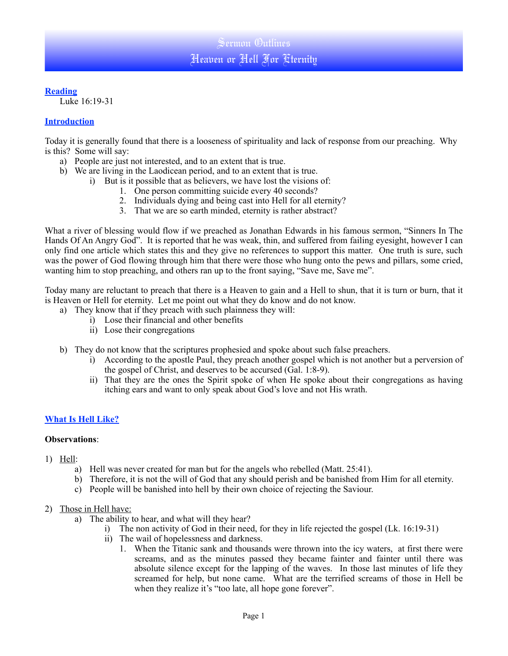## **Reading**

Luke 16:19-31

## **Introduction**

Today it is generally found that there is a looseness of spirituality and lack of response from our preaching. Why is this? Some will say:

- a) People are just not interested, and to an extent that is true.
- b) We are living in the Laodicean period, and to an extent that is true.
	- i) But is it possible that as believers, we have lost the visions of:
		- 1. One person committing suicide every 40 seconds?
		- 2. Individuals dying and being cast into Hell for all eternity?
		- 3. That we are so earth minded, eternity is rather abstract?

What a river of blessing would flow if we preached as Jonathan Edwards in his famous sermon, "Sinners In The Hands Of An Angry God". It is reported that he was weak, thin, and suffered from failing eyesight, however I can only find one article which states this and they give no references to support this matter. One truth is sure, such was the power of God flowing through him that there were those who hung onto the pews and pillars, some cried, wanting him to stop preaching, and others ran up to the front saying, "Save me, Save me".

Today many are reluctant to preach that there is a Heaven to gain and a Hell to shun, that it is turn or burn, that it is Heaven or Hell for eternity. Let me point out what they do know and do not know.

- a) They know that if they preach with such plainness they will:
	- i) Lose their financial and other benefits
	- ii) Lose their congregations
- b) They do not know that the scriptures prophesied and spoke about such false preachers.
	- i) According to the apostle Paul, they preach another gospel which is not another but a perversion of the gospel of Christ, and deserves to be accursed (Gal. 1:8-9).
	- ii) That they are the ones the Spirit spoke of when He spoke about their congregations as having itching ears and want to only speak about God's love and not His wrath.

# **What Is Hell Like?**

#### **Observations**:

- 1) Hell:
	- a) Hell was never created for man but for the angels who rebelled (Matt. 25:41).
	- b) Therefore, it is not the will of God that any should perish and be banished from Him for all eternity.
	- c) People will be banished into hell by their own choice of rejecting the Saviour.
- 2) Those in Hell have:
	- a) The ability to hear, and what will they hear?
		- i) The non activity of God in their need, for they in life rejected the gospel (Lk. 16:19-31)
		- ii) The wail of hopelessness and darkness.
			- 1. When the Titanic sank and thousands were thrown into the icy waters, at first there were screams, and as the minutes passed they became fainter and fainter until there was absolute silence except for the lapping of the waves. In those last minutes of life they screamed for help, but none came. What are the terrified screams of those in Hell be when they realize it's "too late, all hope gone forever".